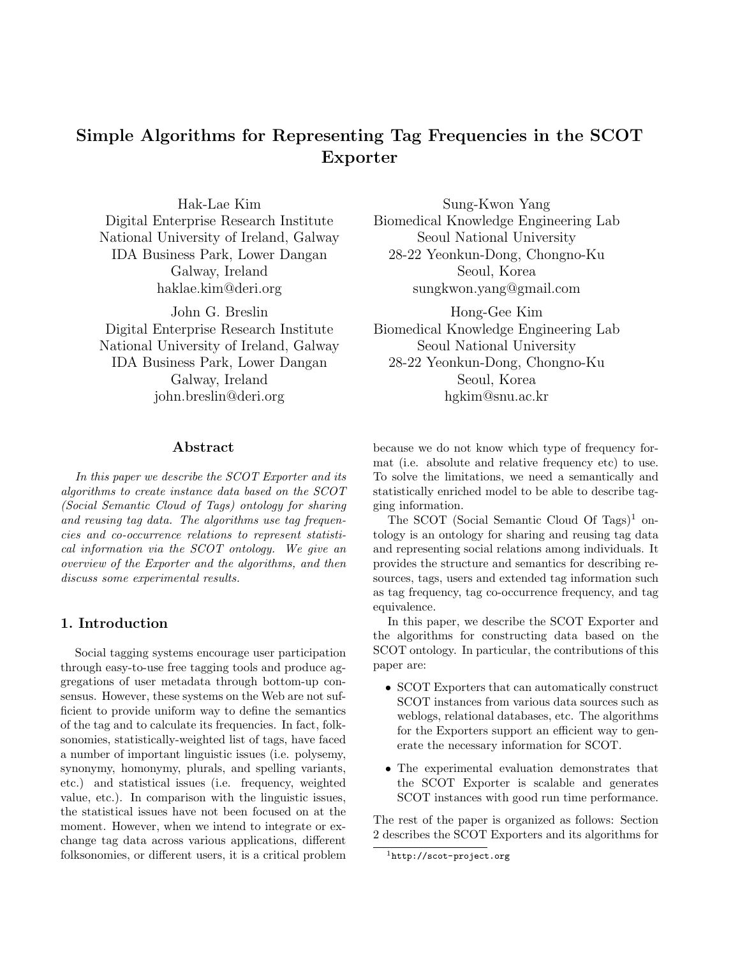# Simple Algorithms for Representing Tag Frequencies in the SCOT Exporter

Hak-Lae Kim Digital Enterprise Research Institute National University of Ireland, Galway IDA Business Park, Lower Dangan Galway, Ireland haklae.kim@deri.org

John G. Breslin Digital Enterprise Research Institute National University of Ireland, Galway IDA Business Park, Lower Dangan Galway, Ireland john.breslin@deri.org

#### Abstract

In this paper we describe the SCOT Exporter and its algorithms to create instance data based on the SCOT (Social Semantic Cloud of Tags) ontology for sharing and reusing tag data. The algorithms use tag frequencies and co-occurrence relations to represent statistical information via the SCOT ontology. We give an overview of the Exporter and the algorithms, and then discuss some experimental results.

#### 1. Introduction

Social tagging systems encourage user participation through easy-to-use free tagging tools and produce aggregations of user metadata through bottom-up consensus. However, these systems on the Web are not sufficient to provide uniform way to define the semantics of the tag and to calculate its frequencies. In fact, folksonomies, statistically-weighted list of tags, have faced a number of important linguistic issues (i.e. polysemy, synonymy, homonymy, plurals, and spelling variants, etc.) and statistical issues (i.e. frequency, weighted value, etc.). In comparison with the linguistic issues, the statistical issues have not been focused on at the moment. However, when we intend to integrate or exchange tag data across various applications, different folksonomies, or different users, it is a critical problem

Sung-Kwon Yang Biomedical Knowledge Engineering Lab Seoul National University 28-22 Yeonkun-Dong, Chongno-Ku Seoul, Korea sungkwon.yang@gmail.com

Hong-Gee Kim Biomedical Knowledge Engineering Lab Seoul National University 28-22 Yeonkun-Dong, Chongno-Ku Seoul, Korea hgkim@snu.ac.kr

because we do not know which type of frequency format (i.e. absolute and relative frequency etc) to use. To solve the limitations, we need a semantically and statistically enriched model to be able to describe tagging information.

The SCOT (Social Semantic Cloud Of Tags)<sup>1</sup> ontology is an ontology for sharing and reusing tag data and representing social relations among individuals. It provides the structure and semantics for describing resources, tags, users and extended tag information such as tag frequency, tag co-occurrence frequency, and tag equivalence.

In this paper, we describe the SCOT Exporter and the algorithms for constructing data based on the SCOT ontology. In particular, the contributions of this paper are:

- SCOT Exporters that can automatically construct SCOT instances from various data sources such as weblogs, relational databases, etc. The algorithms for the Exporters support an efficient way to generate the necessary information for SCOT.
- The experimental evaluation demonstrates that the SCOT Exporter is scalable and generates SCOT instances with good run time performance.

The rest of the paper is organized as follows: Section 2 describes the SCOT Exporters and its algorithms for

<sup>1</sup>http://scot-project.org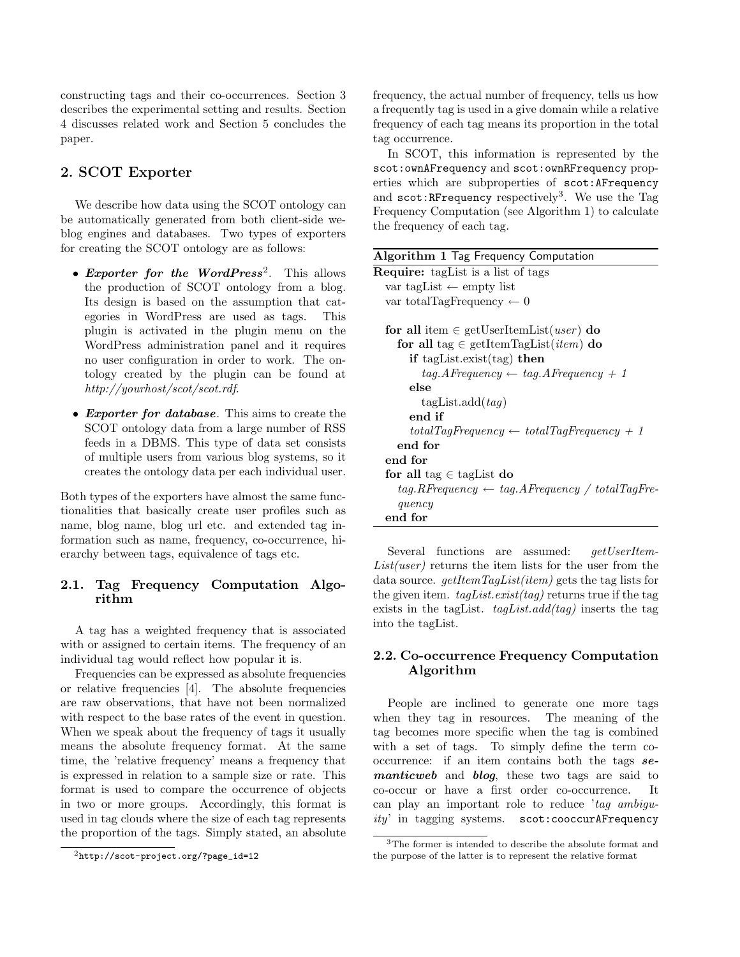constructing tags and their co-occurrences. Section 3 describes the experimental setting and results. Section 4 discusses related work and Section 5 concludes the paper.

# 2. SCOT Exporter

We describe how data using the SCOT ontology can be automatically generated from both client-side weblog engines and databases. Two types of exporters for creating the SCOT ontology are as follows:

- Exporter for the WordPress<sup>2</sup>. This allows the production of SCOT ontology from a blog. Its design is based on the assumption that categories in WordPress are used as tags. This plugin is activated in the plugin menu on the WordPress administration panel and it requires no user configuration in order to work. The ontology created by the plugin can be found at http://yourhost/scot/scot.rdf.
- Exporter for database. This aims to create the SCOT ontology data from a large number of RSS feeds in a DBMS. This type of data set consists of multiple users from various blog systems, so it creates the ontology data per each individual user.

Both types of the exporters have almost the same functionalities that basically create user profiles such as name, blog name, blog url etc. and extended tag information such as name, frequency, co-occurrence, hierarchy between tags, equivalence of tags etc.

# 2.1. Tag Frequency Computation Algorithm

A tag has a weighted frequency that is associated with or assigned to certain items. The frequency of an individual tag would reflect how popular it is.

Frequencies can be expressed as absolute frequencies or relative frequencies [4]. The absolute frequencies are raw observations, that have not been normalized with respect to the base rates of the event in question. When we speak about the frequency of tags it usually means the absolute frequency format. At the same time, the 'relative frequency' means a frequency that is expressed in relation to a sample size or rate. This format is used to compare the occurrence of objects in two or more groups. Accordingly, this format is used in tag clouds where the size of each tag represents the proportion of the tags. Simply stated, an absolute

frequency, the actual number of frequency, tells us how a frequently tag is used in a give domain while a relative frequency of each tag means its proportion in the total tag occurrence.

In SCOT, this information is represented by the scot:ownAFrequency and scot:ownRFrequency properties which are subproperties of scot:AFrequency and  $\texttt{scot:RFrequency}\$  respectively<sup>3</sup>. We use the Tag Frequency Computation (see Algorithm 1) to calculate the frequency of each tag.

| Algorithm 1 Tag Frequency Computation                      |
|------------------------------------------------------------|
| <b>Require:</b> tagList is a list of tags                  |
| var tagList $\leftarrow$ empty list                        |
| var totalTagFrequency $\leftarrow 0$                       |
| for all item $\in$ getUserItemList( <i>user</i> ) do       |
| for all tag $\in$ getItemTagList( <i>item</i> ) do         |
| if $tagList.exit(tag)$ then                                |
| $tag.AFrequency \leftarrow tag.AFrequency + 1$             |
| else                                                       |
| tagList.add(taq)                                           |
| end if                                                     |
| $totalTagFrequency \leftarrow totalTagFrequency + 1$       |
| end for                                                    |
| end for                                                    |
| for all tag $\in$ tagList do                               |
| $tag. RFrequency \leftarrow tag. AFrequency / totalTagFre$ |
| quency                                                     |
| end for                                                    |

Several functions are assumed: getUserItem- $List(user)$  returns the item lists for the user from the data source. getItemTagList(item) gets the tag lists for the given item.  $tagList. exist(tag)$  returns true if the tag exists in the tagList.  $tagList.add(tag)$  inserts the tag into the tagList.

### 2.2. Co-occurrence Frequency Computation Algorithm

People are inclined to generate one more tags when they tag in resources. The meaning of the tag becomes more specific when the tag is combined with a set of tags. To simply define the term cooccurrence: if an item contains both the tags semanticweb and blog, these two tags are said to co-occur or have a first order co-occurrence. It can play an important role to reduce 'tag ambigu $ity'$  in tagging systems. scot:cooccurAFrequency

<sup>2</sup>http://scot-project.org/?page\_id=12

<sup>3</sup>The former is intended to describe the absolute format and the purpose of the latter is to represent the relative format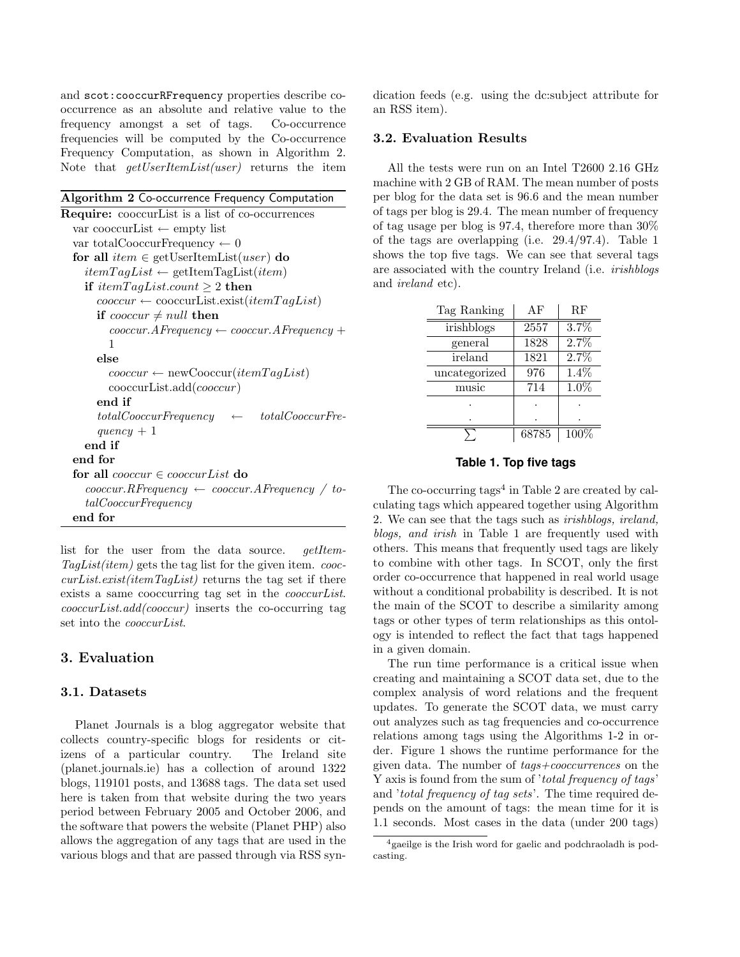and scot:cooccurRFrequency properties describe cooccurrence as an absolute and relative value to the frequency amongst a set of tags. Co-occurrence frequencies will be computed by the Co-occurrence Frequency Computation, as shown in Algorithm 2. Note that  $qetUserItemList(user)$  returns the item

|  | Algorithm 2 Co-occurrence Frequency Computation |  |  |
|--|-------------------------------------------------|--|--|
|--|-------------------------------------------------|--|--|

list for the user from the data source. getItem-TagList(item) gets the tag list for the given item. cooc $curList. exist (itemTagList)$  returns the tag set if there exists a same cooccurring tag set in the *cooccurList*. cooccurList.add(cooccur) inserts the co-occurring tag set into the *cooccurList*.

# 3. Evaluation

#### 3.1. Datasets

Planet Journals is a blog aggregator website that collects country-specific blogs for residents or citizens of a particular country. The Ireland site (planet.journals.ie) has a collection of around 1322 blogs, 119101 posts, and 13688 tags. The data set used here is taken from that website during the two years period between February 2005 and October 2006, and the software that powers the website (Planet PHP) also allows the aggregation of any tags that are used in the various blogs and that are passed through via RSS syndication feeds (e.g. using the dc:subject attribute for an RSS item).

#### 3.2. Evaluation Results

All the tests were run on an Intel T2600 2.16 GHz machine with 2 GB of RAM. The mean number of posts per blog for the data set is 96.6 and the mean number of tags per blog is 29.4. The mean number of frequency of tag usage per blog is 97.4, therefore more than 30% of the tags are overlapping (i.e. 29.4/97.4). Table 1 shows the top five tags. We can see that several tags are associated with the country Ireland (i.e. irishblogs and ireland etc).

| Tag Ranking   | AF    | RF   |
|---------------|-------|------|
| irishblogs    | 2557  | 3.7% |
| general       | 1828  | 2.7% |
| ireland       | 1821  | 2.7% |
| uncategorized | 976   | 1.4% |
| music         | 714   | 1.0% |
|               |       |      |
|               |       |      |
|               | 68785 | 100% |

**Table 1. Top five tags**

The co-occurring tags<sup>4</sup> in Table 2 are created by calculating tags which appeared together using Algorithm 2. We can see that the tags such as irishblogs, ireland, blogs, and irish in Table 1 are frequently used with others. This means that frequently used tags are likely to combine with other tags. In SCOT, only the first order co-occurrence that happened in real world usage without a conditional probability is described. It is not the main of the SCOT to describe a similarity among tags or other types of term relationships as this ontology is intended to reflect the fact that tags happened in a given domain.

The run time performance is a critical issue when creating and maintaining a SCOT data set, due to the complex analysis of word relations and the frequent updates. To generate the SCOT data, we must carry out analyzes such as tag frequencies and co-occurrence relations among tags using the Algorithms 1-2 in order. Figure 1 shows the runtime performance for the given data. The number of tags+cooccurrences on the Y axis is found from the sum of 'total frequency of tags' and 'total frequency of tag sets'. The time required depends on the amount of tags: the mean time for it is 1.1 seconds. Most cases in the data (under 200 tags)

<sup>4</sup>gaeilge is the Irish word for gaelic and podchraoladh is podcasting.